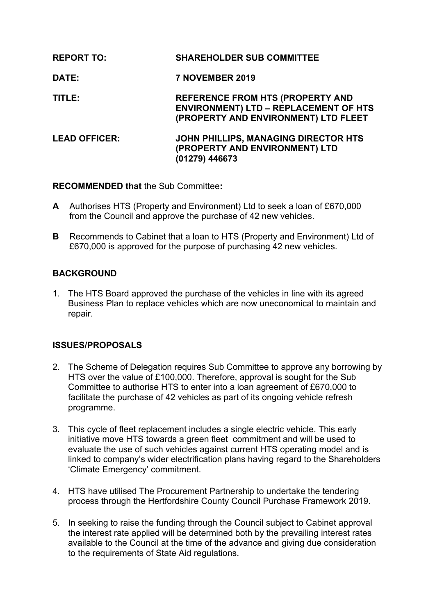| <b>REPORT TO:</b>    | <b>SHAREHOLDER SUB COMMITTEE</b>                                                                                         |
|----------------------|--------------------------------------------------------------------------------------------------------------------------|
| DATE:                | 7 NOVEMBER 2019                                                                                                          |
| TITLE:               | REFERENCE FROM HTS (PROPERTY AND<br><b>ENVIRONMENT) LTD - REPLACEMENT OF HTS</b><br>(PROPERTY AND ENVIRONMENT) LTD FLEET |
| <b>LEAD OFFICER:</b> | JOHN PHILLIPS, MANAGING DIRECTOR HTS<br>(PROPERTY AND ENVIRONMENT) LTD<br>(01279) 446673                                 |

**RECOMMENDED that** the Sub Committee**:**

- **A** Authorises HTS (Property and Environment) Ltd to seek a loan of £670,000 from the Council and approve the purchase of 42 new vehicles.
- **B** Recommends to Cabinet that a loan to HTS (Property and Environment) Ltd of £670,000 is approved for the purpose of purchasing 42 new vehicles.

# **BACKGROUND**

1. The HTS Board approved the purchase of the vehicles in line with its agreed Business Plan to replace vehicles which are now uneconomical to maintain and repair.

# **ISSUES/PROPOSALS**

- 2. The Scheme of Delegation requires Sub Committee to approve any borrowing by HTS over the value of £100,000. Therefore, approval is sought for the Sub Committee to authorise HTS to enter into a loan agreement of £670,000 to facilitate the purchase of 42 vehicles as part of its ongoing vehicle refresh programme.
- 3. This cycle of fleet replacement includes a single electric vehicle. This early initiative move HTS towards a green fleet commitment and will be used to evaluate the use of such vehicles against current HTS operating model and is linked to company's wider electrification plans having regard to the Shareholders 'Climate Emergency' commitment.
- 4. HTS have utilised The Procurement Partnership to undertake the tendering process through the Hertfordshire County Council Purchase Framework 2019.
- 5. In seeking to raise the funding through the Council subject to Cabinet approval the interest rate applied will be determined both by the prevailing interest rates available to the Council at the time of the advance and giving due consideration to the requirements of State Aid regulations.